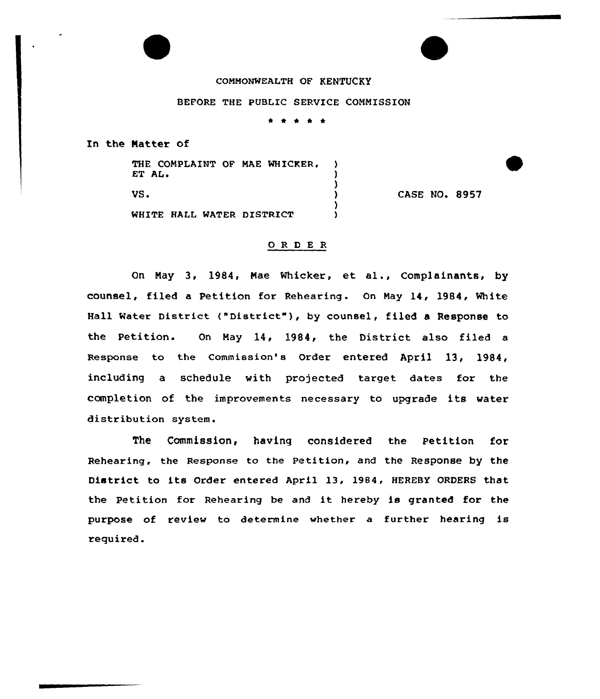## CONMGNMEALTH OF KENTUCKY

## BEFORE THE PUBLIC SERVICE CONNISSION

 $\bullet$  $\bullet$   $\bullet$ 

In the Matter of

| THE COMPLAINT OF MAE WHICKER,<br>ET AL. |                      |
|-----------------------------------------|----------------------|
| VS.                                     | <b>CASE NO. 8957</b> |
| WHITE HALL WATER DISTRICT               |                      |

## 0 R <sup>D</sup> E <sup>R</sup>

On May 3, 1984, Mae Mhicker, et al., Complainants, by counsel, filed a Petition for Rehearing. On May 14, 1984, White Hall Water District ("District"), by counsel, filed a Response to the Petition. On May 14, 1984, the District also filed a Response to the Commission's Order entered April 13, 1984, including a schedule with projected target dates for the completion of the improvements necessary to upgrade its water distribution system.

The Commission, having considered the Petition for Rehearing, the Response to the Petition, and the Response by the District to its Order entered April 13, 19B4, HEREBY ORDERS that the Petition for Rehearing be and it hereby is granted for the purpose of review to determine whether a further hearing is required.